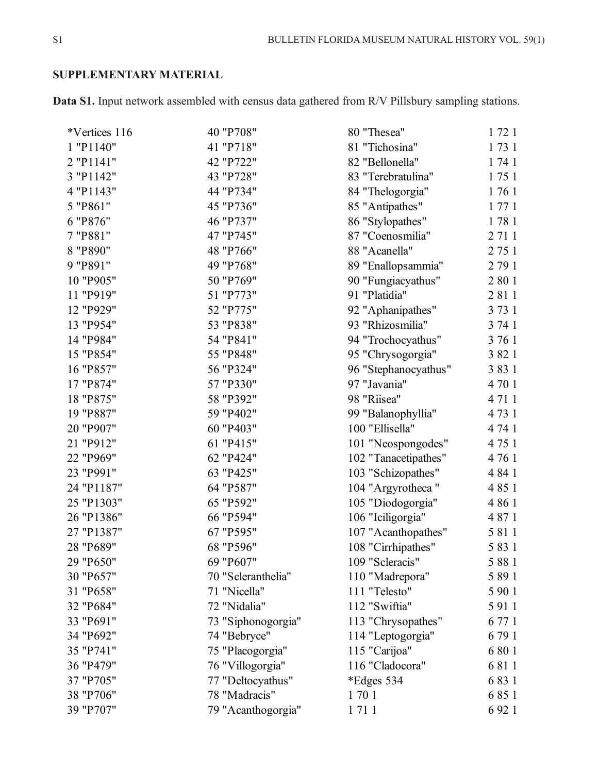# **SUPPLEMENTARY MATERIAL**

**Data S1.** Input network assembled with census data gathered from R/V Pillsbury sampling stations.

| 1731<br>41 "P718"<br>81 "Tichosina"<br>42 "P722"<br>82 "Bellonella"<br>1 74 1<br>43 "P728"<br>1751<br>83 "Terebratulina"<br>44 "P734"<br>1761<br>84 "Thelogorgia"<br>1771<br>45 "P736"<br>85 "Antipathes"<br>46 "P737"<br>1781<br>86 "Stylopathes"<br>47 "P745"<br>2 7 1 1<br>87 "Coenosmilia"<br>2 75 1<br>48 "P766"<br>88 "Acanella"<br>49 "P768"<br>2 79 1<br>89 "Enallopsammia"<br>2 8 0 1<br>50 "P769"<br>90 "Fungiacyathus"<br>51 "P773"<br>2 8 1 1<br>91 "Platidia"<br>3 7 3 1<br>52 "P775"<br>92 "Aphanipathes"<br>53 "P838"<br>3 74 1<br>93 "Rhizosmilia"<br>3 76 1<br>54 "P841"<br>94 "Trochocyathus"<br>3 8 2 1<br>55 "P848"<br>95 "Chrysogorgia"<br>56 "P324"<br>3831<br>96 "Stephanocyathus"<br>57 "P330"<br>4 70 1<br>97 "Javania"<br>58 "P392"<br>4 7 1 1<br>98 "Riisea"<br>59 "P402"<br>4 7 3 1<br>99 "Balanophyllia"<br>60 "P403"<br>4 74 1<br>100 "Ellisella"<br>4 75 1<br>61 "P415"<br>101 "Neospongodes"<br>62 "P424"<br>4 76 1<br>102 "Tanacetipathes"<br>63 "P425"<br>103 "Schizopathes"<br>4 8 4 1<br>64 "P587"<br>4 8 5 1<br>104 "Argyrotheca"<br>65 "P592"<br>4 8 6 1<br>105 "Diodogorgia"<br>66 "P594"<br>4 8 7 1<br>106 "Iciligorgia"<br>5 8 1 1<br>67 "P595"<br>107 "Acanthopathes"<br>5 8 3 1<br>68 "P596"<br>108 "Cirrhipathes"<br>5 8 8 1<br>69 "P607"<br>109 "Scleracis"<br>5 8 9 1<br>70 "Scleranthelia"<br>110 "Madrepora"<br>71 "Nicella"<br>111 "Telesto"<br>5 9 0 1<br>112 "Swiftia"<br>5 9 1 1<br>72 "Nidalia"<br>6 77 1<br>73 "Siphonogorgia"<br>113 "Chrysopathes"<br>6 79 1<br>74 "Bebryce"<br>114 "Leptogorgia"<br>6 80 1<br>75 "Placogorgia"<br>115 "Carijoa"<br>116 "Cladocora"<br>6 8 1 1<br>76 "Villogorgia"<br>6 8 3 1<br>*Edges 534<br>77 "Deltocyathus"<br>6 8 5 1<br>78 "Madracis"<br>1701 | *Vertices 116 | 40 "P708"          | 80 "Thesea" | 1721    |
|----------------------------------------------------------------------------------------------------------------------------------------------------------------------------------------------------------------------------------------------------------------------------------------------------------------------------------------------------------------------------------------------------------------------------------------------------------------------------------------------------------------------------------------------------------------------------------------------------------------------------------------------------------------------------------------------------------------------------------------------------------------------------------------------------------------------------------------------------------------------------------------------------------------------------------------------------------------------------------------------------------------------------------------------------------------------------------------------------------------------------------------------------------------------------------------------------------------------------------------------------------------------------------------------------------------------------------------------------------------------------------------------------------------------------------------------------------------------------------------------------------------------------------------------------------------------------------------------------------------------------------------------------------------------------------------------------------------------------------------------|---------------|--------------------|-------------|---------|
| 2 "P1141"                                                                                                                                                                                                                                                                                                                                                                                                                                                                                                                                                                                                                                                                                                                                                                                                                                                                                                                                                                                                                                                                                                                                                                                                                                                                                                                                                                                                                                                                                                                                                                                                                                                                                                                                    | 1 "P1140"     |                    |             |         |
| 3 "P1142"<br>4 "P1143"<br>5 "P861"<br>6 "P876"<br>7 "P881"<br>8 "P890"<br>9 "P891"<br>10 "P905"<br>11 "P919"<br>12 "P929"<br>13 "P954"<br>14 "P984"<br>15 "P854"<br>16 "P857"<br>17 "P874"<br>18 "P875"<br>19 "P887"<br>20 "P907"<br>21 "P912"<br>22 "P969"<br>23 "P991"<br>24 "P1187"<br>25 "P1303"<br>26 "P1386"<br>27 "P1387"<br>28 "P689"<br>29 "P650"<br>30 "P657"<br>31 "P658"<br>32 "P684"<br>33 "P691"<br>34 "P692"<br>35 "P741"<br>36 "P479"<br>37 "P705"<br>38 "P706"                                                                                                                                                                                                                                                                                                                                                                                                                                                                                                                                                                                                                                                                                                                                                                                                                                                                                                                                                                                                                                                                                                                                                                                                                                                              |               |                    |             |         |
|                                                                                                                                                                                                                                                                                                                                                                                                                                                                                                                                                                                                                                                                                                                                                                                                                                                                                                                                                                                                                                                                                                                                                                                                                                                                                                                                                                                                                                                                                                                                                                                                                                                                                                                                              |               |                    |             |         |
|                                                                                                                                                                                                                                                                                                                                                                                                                                                                                                                                                                                                                                                                                                                                                                                                                                                                                                                                                                                                                                                                                                                                                                                                                                                                                                                                                                                                                                                                                                                                                                                                                                                                                                                                              |               |                    |             |         |
|                                                                                                                                                                                                                                                                                                                                                                                                                                                                                                                                                                                                                                                                                                                                                                                                                                                                                                                                                                                                                                                                                                                                                                                                                                                                                                                                                                                                                                                                                                                                                                                                                                                                                                                                              |               |                    |             |         |
|                                                                                                                                                                                                                                                                                                                                                                                                                                                                                                                                                                                                                                                                                                                                                                                                                                                                                                                                                                                                                                                                                                                                                                                                                                                                                                                                                                                                                                                                                                                                                                                                                                                                                                                                              |               |                    |             |         |
|                                                                                                                                                                                                                                                                                                                                                                                                                                                                                                                                                                                                                                                                                                                                                                                                                                                                                                                                                                                                                                                                                                                                                                                                                                                                                                                                                                                                                                                                                                                                                                                                                                                                                                                                              |               |                    |             |         |
|                                                                                                                                                                                                                                                                                                                                                                                                                                                                                                                                                                                                                                                                                                                                                                                                                                                                                                                                                                                                                                                                                                                                                                                                                                                                                                                                                                                                                                                                                                                                                                                                                                                                                                                                              |               |                    |             |         |
|                                                                                                                                                                                                                                                                                                                                                                                                                                                                                                                                                                                                                                                                                                                                                                                                                                                                                                                                                                                                                                                                                                                                                                                                                                                                                                                                                                                                                                                                                                                                                                                                                                                                                                                                              |               |                    |             |         |
|                                                                                                                                                                                                                                                                                                                                                                                                                                                                                                                                                                                                                                                                                                                                                                                                                                                                                                                                                                                                                                                                                                                                                                                                                                                                                                                                                                                                                                                                                                                                                                                                                                                                                                                                              |               |                    |             |         |
|                                                                                                                                                                                                                                                                                                                                                                                                                                                                                                                                                                                                                                                                                                                                                                                                                                                                                                                                                                                                                                                                                                                                                                                                                                                                                                                                                                                                                                                                                                                                                                                                                                                                                                                                              |               |                    |             |         |
|                                                                                                                                                                                                                                                                                                                                                                                                                                                                                                                                                                                                                                                                                                                                                                                                                                                                                                                                                                                                                                                                                                                                                                                                                                                                                                                                                                                                                                                                                                                                                                                                                                                                                                                                              |               |                    |             |         |
|                                                                                                                                                                                                                                                                                                                                                                                                                                                                                                                                                                                                                                                                                                                                                                                                                                                                                                                                                                                                                                                                                                                                                                                                                                                                                                                                                                                                                                                                                                                                                                                                                                                                                                                                              |               |                    |             |         |
|                                                                                                                                                                                                                                                                                                                                                                                                                                                                                                                                                                                                                                                                                                                                                                                                                                                                                                                                                                                                                                                                                                                                                                                                                                                                                                                                                                                                                                                                                                                                                                                                                                                                                                                                              |               |                    |             |         |
|                                                                                                                                                                                                                                                                                                                                                                                                                                                                                                                                                                                                                                                                                                                                                                                                                                                                                                                                                                                                                                                                                                                                                                                                                                                                                                                                                                                                                                                                                                                                                                                                                                                                                                                                              |               |                    |             |         |
|                                                                                                                                                                                                                                                                                                                                                                                                                                                                                                                                                                                                                                                                                                                                                                                                                                                                                                                                                                                                                                                                                                                                                                                                                                                                                                                                                                                                                                                                                                                                                                                                                                                                                                                                              |               |                    |             |         |
|                                                                                                                                                                                                                                                                                                                                                                                                                                                                                                                                                                                                                                                                                                                                                                                                                                                                                                                                                                                                                                                                                                                                                                                                                                                                                                                                                                                                                                                                                                                                                                                                                                                                                                                                              |               |                    |             |         |
|                                                                                                                                                                                                                                                                                                                                                                                                                                                                                                                                                                                                                                                                                                                                                                                                                                                                                                                                                                                                                                                                                                                                                                                                                                                                                                                                                                                                                                                                                                                                                                                                                                                                                                                                              |               |                    |             |         |
|                                                                                                                                                                                                                                                                                                                                                                                                                                                                                                                                                                                                                                                                                                                                                                                                                                                                                                                                                                                                                                                                                                                                                                                                                                                                                                                                                                                                                                                                                                                                                                                                                                                                                                                                              |               |                    |             |         |
|                                                                                                                                                                                                                                                                                                                                                                                                                                                                                                                                                                                                                                                                                                                                                                                                                                                                                                                                                                                                                                                                                                                                                                                                                                                                                                                                                                                                                                                                                                                                                                                                                                                                                                                                              |               |                    |             |         |
|                                                                                                                                                                                                                                                                                                                                                                                                                                                                                                                                                                                                                                                                                                                                                                                                                                                                                                                                                                                                                                                                                                                                                                                                                                                                                                                                                                                                                                                                                                                                                                                                                                                                                                                                              |               |                    |             |         |
|                                                                                                                                                                                                                                                                                                                                                                                                                                                                                                                                                                                                                                                                                                                                                                                                                                                                                                                                                                                                                                                                                                                                                                                                                                                                                                                                                                                                                                                                                                                                                                                                                                                                                                                                              |               |                    |             |         |
|                                                                                                                                                                                                                                                                                                                                                                                                                                                                                                                                                                                                                                                                                                                                                                                                                                                                                                                                                                                                                                                                                                                                                                                                                                                                                                                                                                                                                                                                                                                                                                                                                                                                                                                                              |               |                    |             |         |
|                                                                                                                                                                                                                                                                                                                                                                                                                                                                                                                                                                                                                                                                                                                                                                                                                                                                                                                                                                                                                                                                                                                                                                                                                                                                                                                                                                                                                                                                                                                                                                                                                                                                                                                                              |               |                    |             |         |
|                                                                                                                                                                                                                                                                                                                                                                                                                                                                                                                                                                                                                                                                                                                                                                                                                                                                                                                                                                                                                                                                                                                                                                                                                                                                                                                                                                                                                                                                                                                                                                                                                                                                                                                                              |               |                    |             |         |
|                                                                                                                                                                                                                                                                                                                                                                                                                                                                                                                                                                                                                                                                                                                                                                                                                                                                                                                                                                                                                                                                                                                                                                                                                                                                                                                                                                                                                                                                                                                                                                                                                                                                                                                                              |               |                    |             |         |
|                                                                                                                                                                                                                                                                                                                                                                                                                                                                                                                                                                                                                                                                                                                                                                                                                                                                                                                                                                                                                                                                                                                                                                                                                                                                                                                                                                                                                                                                                                                                                                                                                                                                                                                                              |               |                    |             |         |
|                                                                                                                                                                                                                                                                                                                                                                                                                                                                                                                                                                                                                                                                                                                                                                                                                                                                                                                                                                                                                                                                                                                                                                                                                                                                                                                                                                                                                                                                                                                                                                                                                                                                                                                                              |               |                    |             |         |
|                                                                                                                                                                                                                                                                                                                                                                                                                                                                                                                                                                                                                                                                                                                                                                                                                                                                                                                                                                                                                                                                                                                                                                                                                                                                                                                                                                                                                                                                                                                                                                                                                                                                                                                                              |               |                    |             |         |
|                                                                                                                                                                                                                                                                                                                                                                                                                                                                                                                                                                                                                                                                                                                                                                                                                                                                                                                                                                                                                                                                                                                                                                                                                                                                                                                                                                                                                                                                                                                                                                                                                                                                                                                                              |               |                    |             |         |
|                                                                                                                                                                                                                                                                                                                                                                                                                                                                                                                                                                                                                                                                                                                                                                                                                                                                                                                                                                                                                                                                                                                                                                                                                                                                                                                                                                                                                                                                                                                                                                                                                                                                                                                                              |               |                    |             |         |
|                                                                                                                                                                                                                                                                                                                                                                                                                                                                                                                                                                                                                                                                                                                                                                                                                                                                                                                                                                                                                                                                                                                                                                                                                                                                                                                                                                                                                                                                                                                                                                                                                                                                                                                                              |               |                    |             |         |
|                                                                                                                                                                                                                                                                                                                                                                                                                                                                                                                                                                                                                                                                                                                                                                                                                                                                                                                                                                                                                                                                                                                                                                                                                                                                                                                                                                                                                                                                                                                                                                                                                                                                                                                                              |               |                    |             |         |
|                                                                                                                                                                                                                                                                                                                                                                                                                                                                                                                                                                                                                                                                                                                                                                                                                                                                                                                                                                                                                                                                                                                                                                                                                                                                                                                                                                                                                                                                                                                                                                                                                                                                                                                                              |               |                    |             |         |
|                                                                                                                                                                                                                                                                                                                                                                                                                                                                                                                                                                                                                                                                                                                                                                                                                                                                                                                                                                                                                                                                                                                                                                                                                                                                                                                                                                                                                                                                                                                                                                                                                                                                                                                                              |               |                    |             |         |
|                                                                                                                                                                                                                                                                                                                                                                                                                                                                                                                                                                                                                                                                                                                                                                                                                                                                                                                                                                                                                                                                                                                                                                                                                                                                                                                                                                                                                                                                                                                                                                                                                                                                                                                                              |               |                    |             |         |
|                                                                                                                                                                                                                                                                                                                                                                                                                                                                                                                                                                                                                                                                                                                                                                                                                                                                                                                                                                                                                                                                                                                                                                                                                                                                                                                                                                                                                                                                                                                                                                                                                                                                                                                                              |               |                    |             |         |
|                                                                                                                                                                                                                                                                                                                                                                                                                                                                                                                                                                                                                                                                                                                                                                                                                                                                                                                                                                                                                                                                                                                                                                                                                                                                                                                                                                                                                                                                                                                                                                                                                                                                                                                                              |               |                    |             |         |
|                                                                                                                                                                                                                                                                                                                                                                                                                                                                                                                                                                                                                                                                                                                                                                                                                                                                                                                                                                                                                                                                                                                                                                                                                                                                                                                                                                                                                                                                                                                                                                                                                                                                                                                                              | 39 "P707"     | 79 "Acanthogorgia" | 1711        | 6 9 2 1 |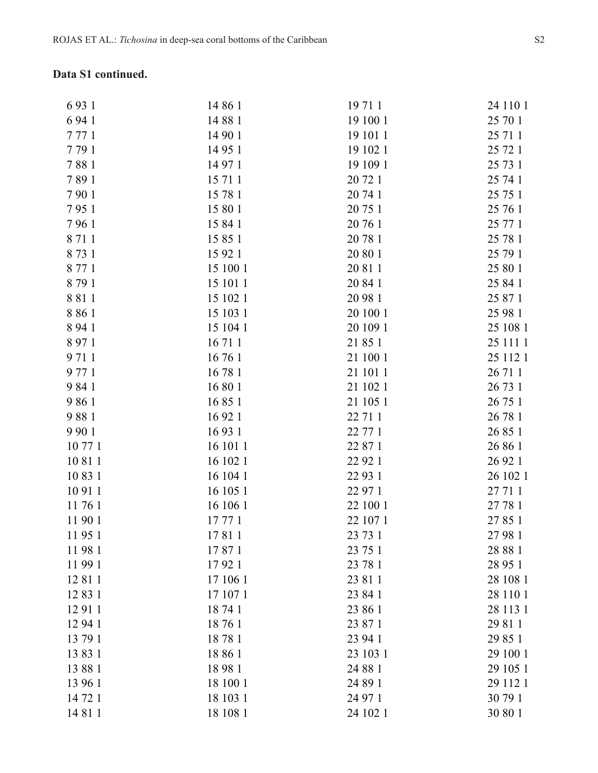### **Data S1 continued.**

| 6 9 3 1 | 14 86 1  | 19 71 1  | 24 110 1 |
|---------|----------|----------|----------|
| 6 94 1  | 14 88 1  | 19 100 1 | 25 70 1  |
| 7771    | 14 90 1  | 19 10 11 | 25 71 1  |
| 7791    | 14 95 1  | 19 102 1 | 25 72 1  |
| 7881    | 14 97 1  | 19 109 1 | 25 73 1  |
| 7891    | 15 71 1  | 20 72 1  | 25 74 1  |
| 7901    | 15 78 1  | 20 74 1  | 25 75 1  |
| 7951    | 15 80 1  | 20 75 1  | 25 76 1  |
| 7961    | 15 84 1  | 20 76 1  | 25 77 1  |
| 8 7 1 1 | 15 85 1  | 20 78 1  | 25 78 1  |
| 8731    | 15 92 1  | 20 80 1  | 25 79 1  |
| 8 7 7 1 | 15 100 1 | 20 81 1  | 25 80 1  |
| 8791    | 15 101 1 | 20 84 1  |          |
|         |          |          | 25 84 1  |
| 8811    | 15 102 1 | 20 98 1  | 25 87 1  |
| 8 8 6 1 | 15 103 1 | 20 100 1 | 25 98 1  |
| 8 9 4 1 | 15 104 1 | 20 109 1 | 25 108 1 |
| 8 9 7 1 | 16 71 1  | 21 85 1  | 25 111 1 |
| 9711    | 16 76 1  | 21 100 1 | 25 112 1 |
| 9 77 1  | 16781    | 21 101 1 | 26 71 1  |
| 9 8 4 1 | 16 80 1  | 21 102 1 | 26 73 1  |
| 9861    | 16 85 1  | 21 105 1 | 26 75 1  |
| 9881    | 16 92 1  | 22 71 1  | 26 78 1  |
| 9 9 0 1 | 16 93 1  | 22 77 1  | 26 85 1  |
| 10771   | 16 10 11 | 22 87 1  | 26 86 1  |
| 10 81 1 | 16 102 1 | 22 92 1  | 26 92 1  |
| 10 83 1 | 16 104 1 | 22 93 1  | 26 102 1 |
| 10 91 1 | 16 105 1 | 22 97 1  | 27 71 1  |
| 11761   | 16 106 1 | 22 100 1 | 27 78 1  |
| 11 90 1 | 17 77 1  | 22 107 1 | 27 85 1  |
| 11951   | 17811    | 23 73 1  | 27 98 1  |
| 11981   | 17871    | 23 75 1  | 28 88 1  |
| 11 99 1 | 17921    | 23 78 1  | 28 95 1  |
| 12 81 1 | 17 106 1 | 23 81 1  | 28 108 1 |
| 12 83 1 | 17 107 1 | 23 84 1  | 28 110 1 |
| 12 91 1 | 18 74 1  | 23 86 1  | 28 113 1 |
| 12 94 1 | 18761    | 23 87 1  | 29 81 1  |
|         |          |          |          |
| 13 79 1 | 18781    | 23 94 1  | 29 85 1  |
| 13 83 1 | 18 86 1  | 23 103 1 | 29 100 1 |
| 13 88 1 | 18981    | 24 88 1  | 29 105 1 |
| 13 96 1 | 18 100 1 | 24 89 1  | 29 112 1 |
| 14 72 1 | 18 103 1 | 24 97 1  | 30 79 1  |
| 14 81 1 | 18 108 1 | 24 102 1 | 30 80 1  |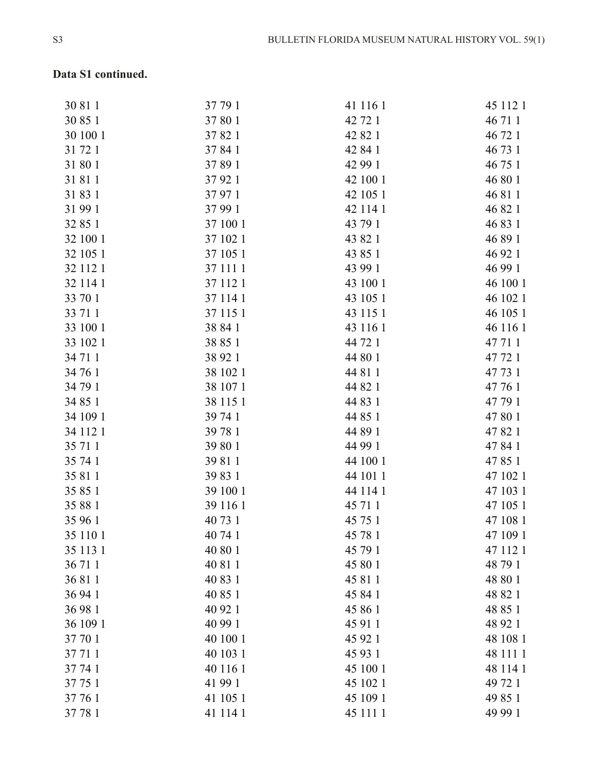# **Data S1 continued.**

| 30 81 1  | 37 79 1  | 41 116 1 | 45 112 1 |
|----------|----------|----------|----------|
| 30 85 1  | 37 80 1  | 42 72 1  | 46 71 1  |
| 30 100 1 | 37 82 1  | 42 82 1  | 46 72 1  |
| 31 72 1  | 37 84 1  | 42 84 1  | 46 73 1  |
| 31 80 1  | 37 89 1  | 42 99 1  | 46 75 1  |
| 31811    | 37 92 1  | 42 100 1 | 46 80 1  |
| 31 83 1  | 37 97 1  | 42 105 1 | 46 81 1  |
| 31 99 1  | 37 99 1  | 42 114 1 | 46 82 1  |
| 32 85 1  | 37 100 1 | 43 79 1  | 46 83 1  |
| 32 100 1 | 37 102 1 | 43 82 1  | 46 89 1  |
| 32 105 1 | 37 105 1 | 43 85 1  | 46 92 1  |
| 32 112 1 | 37 111 1 | 43 99 1  | 46 99 1  |
| 32 114 1 | 37 112 1 | 43 100 1 | 46 100 1 |
| 33 70 1  | 37 114 1 | 43 105 1 | 46 102 1 |
| 33 71 1  | 37 115 1 | 43 115 1 | 46 105 1 |
| 33 100 1 | 38 84 1  | 43 116 1 | 46 116 1 |
| 33 102 1 | 38 85 1  | 44 72 1  | 47 71 1  |
| 34 71 1  | 38 92 1  | 44 80 1  | 47 72 1  |
| 34 76 1  | 38 102 1 | 44 81 1  | 47 73 1  |
| 34 79 1  | 38 107 1 | 44 82 1  | 47 76 1  |
| 34 85 1  | 38 115 1 | 44 83 1  | 47 79 1  |
| 34 109 1 | 39 74 1  | 44 85 1  | 47 80 1  |
| 34 112 1 | 39 78 1  | 44 89 1  | 47 82 1  |
| 35 71 1  | 39 80 1  | 44 99 1  | 47 84 1  |
| 35 74 1  | 39 81 1  | 44 100 1 | 47 85 1  |
| 35 81 1  | 39 83 1  | 44 101 1 | 47 102 1 |
| 35 85 1  | 39 100 1 | 44 114 1 | 47 103 1 |
| 35 88 1  | 39 116 1 | 45 71 1  | 47 105 1 |
| 35 96 1  | 40 73 1  | 45 75 1  | 47 108 1 |
| 35 110 1 | 40 74 1  | 45 78 1  | 47 109 1 |
| 35 113 1 | 40 80 1  | 45 79 1  | 47 112 1 |
| 36 71 1  | 40 81 1  | 45 80 1  | 48 79 1  |
| 36 81 1  | 40 83 1  | 45 81 1  | 48 80 1  |
| 36 94 1  | 40 85 1  | 45 84 1  | 48 82 1  |
| 36 98 1  | 40 92 1  | 45 86 1  | 48 85 1  |
| 36 109 1 | 40 99 1  | 45 91 1  | 48 92 1  |
| 37 70 1  | 40 100 1 | 45 92 1  | 48 108 1 |
| 37 71 1  | 40 103 1 | 45 93 1  | 48 111 1 |
| 37 74 1  | 40 116 1 | 45 100 1 | 48 114 1 |
| 37 75 1  | 41 99 1  | 45 102 1 | 49 72 1  |
| 37 76 1  | 41 105 1 | 45 109 1 | 49 85 1  |
| 37 78 1  | 41 114 1 | 45 111 1 | 49 99 1  |
|          |          |          |          |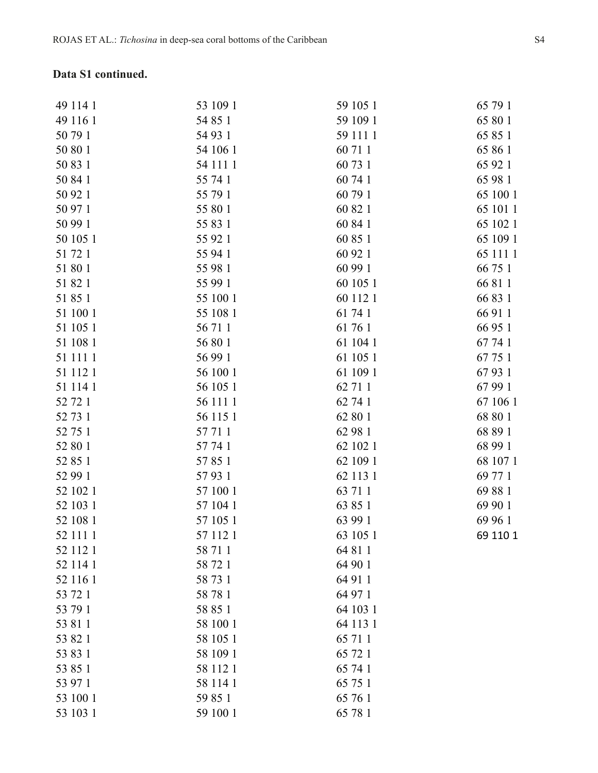### **Data S1 continued.**

| 53 109 1<br>59 105 1 | 65 79 1  |
|----------------------|----------|
| 54 85 1<br>59 109 1  | 65 80    |
| 54 93 1<br>59 111 1  | 65 85    |
| 54 106 1<br>60 71 1  | 65 86    |
| 54 111 1<br>60 73 1  | 65 92    |
| 55 74 1<br>60 74 1   | 65 98    |
| 55 79 1<br>60 79 1   | 65 100   |
| 55 80 1<br>60 82 1   | 65 101 1 |
| 55 83 1<br>60 84 1   | 65 102 1 |
| 55 92 1<br>60 85 1   | 65 109   |
| 55 94 1<br>60 92 1   | 65 111   |
| 55 98 1<br>60 99 1   | 66 75    |
| 55 99 1<br>60 105 1  | 66 81    |
| 55 100 1<br>60 112 1 | 6683     |
| 55 108 1<br>61 74 1  | 66 91    |
| 56 71 1<br>61 76 1   | 66 95    |
| 56 80 1<br>61 104 1  | 67 74 1  |
| 56 99 1<br>61 105 1  | 67 75    |
| 56 100 1<br>61 109 1 | 67 93 1  |
| 56 105 1<br>62 71 1  | 67 99 1  |
| 62 74 1<br>56 111 1  | 67 106   |
| 56 115 1<br>62 80 1  | 68 80    |
| 57 71 1<br>62 98 1   | 68 89    |
| 57 74 1<br>62 102 1  | 68 99    |
| 57 85 1<br>62 109 1  | 68 107   |
| 57 93 1<br>62 113 1  | 69 77 1  |
| 57 100 1<br>63 71 1  | 6988     |
| 57 104 1<br>63 85 1  | 69 90    |
| 57 105 1<br>63 99 1  | 69 96    |
| 57 112 1<br>63 105 1 | 69 110 1 |
| 58 71 1<br>64 81 1   |          |
| 64 90 1<br>58 72 1   |          |
| 64 91 1<br>58 73 1   |          |
| 64 97 1<br>58 78 1   |          |
| 64 103 1<br>58 85 1  |          |
| 64 113 1<br>58 100 1 |          |
| 58 105 1<br>65 71 1  |          |
| 58 109 1<br>65 72 1  |          |
| 65 74 1<br>58 112 1  |          |
| 65 75 1<br>58 114 1  |          |
| 65 76 1<br>59 85 1   |          |
| 59 100 1<br>65 78 1  |          |
|                      |          |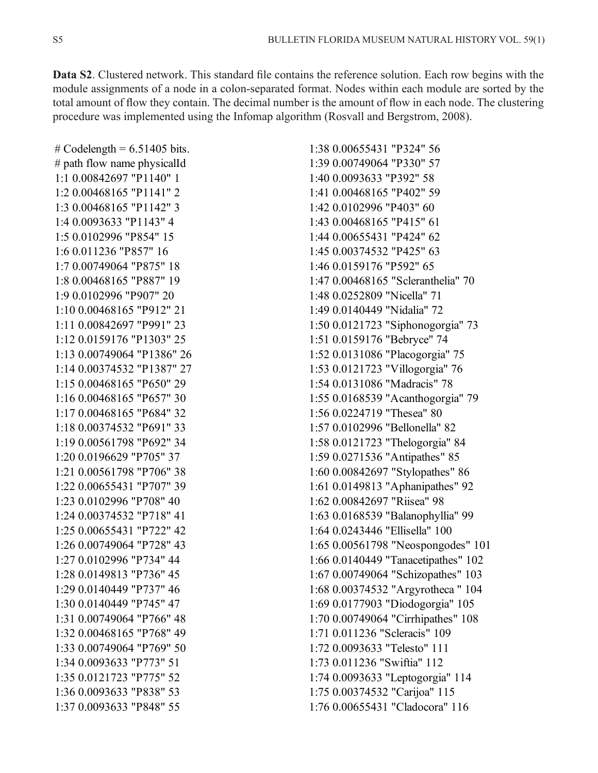Data S2. Clustered network. This standard file contains the reference solution. Each row begins with the module assignments of a node in a colon-separated format. Nodes within each module are sorted by the total amount of flow they contain. The decimal number is the amount of flow in each node. The clustering procedure was implemented using the Infomap algorithm (Rosvall and Bergstrom, 2008).

# Codelength =  $6.51405$  bits. # path flow name physicalId 1:1 0.00842697 "P1140" 1 1:2 0.00468165 "P1141" 2 1:3 0.00468165 "P1142" 3 1:4 0.0093633 "P1143" 4 1:5 0.0102996 "P854" 15 1:6 0.011236 "P857" 16 1:7 0.00749064 "P875" 18 1:8 0.00468165 "P887" 19 1:9 0.0102996 "P907" 20 1:10 0.00468165 "P912" 21 1:11 0.00842697 "P991" 23 1:12 0.0159176 "P1303" 25 1:13 0.00749064 "P1386" 26 1:14 0.00374532 "P1387" 27 1:15 0.00468165 "P650" 29 1:16 0.00468165 "P657" 30 1:17 0.00468165 "P684" 32 1:18 0.00374532 "P691" 33 1:19 0.00561798 "P692" 34 1:20 0.0196629 "P705" 37 1:21 0.00561798 "P706" 38 1:22 0.00655431 "P707" 39 1:23 0.0102996 "P708" 40 1:24 0.00374532 "P718" 41 1:25 0.00655431 "P722" 42 1:26 0.00749064 "P728" 43 1:27 0.0102996 "P734" 44 1:28 0.0149813 "P736" 45 1:29 0.0140449 "P737" 46 1:30 0.0140449 "P745" 47 1:31 0.00749064 "P766" 48 1:32 0.00468165 "P768" 49 1:33 0.00749064 "P769" 50 1:34 0.0093633 "P773" 51 1:35 0.0121723 "P775" 52 1:36 0.0093633 "P838" 53 1:37 0.0093633 "P848" 55

1:38 0.00655431 "P324" 56 1:39 0.00749064 "P330" 57 1:40 0.0093633 "P392" 58 1:41 0.00468165 "P402" 59 1:42 0.0102996 "P403" 60 1:43 0.00468165 "P415" 61 1:44 0.00655431 "P424" 62 1:45 0.00374532 "P425" 63 1:46 0.0159176 "P592" 65 1:47 0.00468165 "Scleranthelia" 70 1:48 0.0252809 "Nicella" 71 1:49 0.0140449 "Nidalia" 72 1:50 0.0121723 "Siphonogorgia" 73 1:51 0.0159176 "Bebryce" 74 1:52 0.0131086 "Placogorgia" 75 1:53 0.0121723 "Villogorgia" 76 1:54 0.0131086 "Madracis" 78 1:55 0.0168539 "Acanthogorgia" 79 1:56 0.0224719 "Thesea" 80 1:57 0.0102996 "Bellonella" 82 1:58 0.0121723 "Thelogorgia" 84 1:59 0.0271536 "Antipathes" 85 1:60 0.00842697 "Stylopathes" 86 1:61 0.0149813 "Aphanipathes" 92 1:62 0.00842697 "Riisea" 98 1:63 0.0168539 "Balanophyllia" 99 1:64 0.0243446 "Ellisella" 100 1:65 0.00561798 "Neospongodes" 101 1:66 0.0140449 "Tanacetipathes" 102 1:67 0.00749064 "Schizopathes" 103 1:68 0.00374532 "Argyrotheca " 104 1:69 0.0177903 "Diodogorgia" 105 1:70 0.00749064 "Cirrhipathes" 108 1:71 0.011236 "Scleracis" 109 1:72 0.0093633 "Telesto" 111 1:73 0.011236 "Swiftia" 112 1:74 0.0093633 "Leptogorgia" 114 1:75 0.00374532 "Carijoa" 115 1:76 0.00655431 "Cladocora" 116